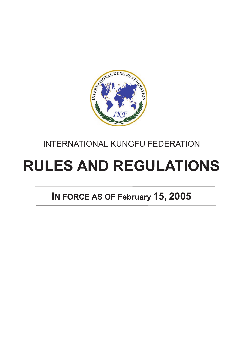

## INTERNATIONAL KUNGFU FEDERATION

# **RULES AND REGULATIONS**

# **IN FORCE AS OF February 15, 2005**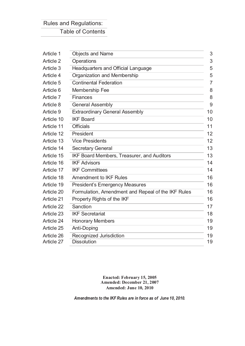## Rules and Regulations: Table of Contents

| Article 1  | <b>Objects and Name</b>                            | 3  |
|------------|----------------------------------------------------|----|
| Article 2  | Operations                                         | 3  |
| Article 3  | Headquarters and Official Language                 | 5  |
| Article 4  | Organization and Membership                        | 5  |
| Article 5  | <b>Continental Federation</b>                      | 7  |
| Article 6  | <b>Membership Fee</b>                              | 8  |
| Article 7  | <b>Finances</b>                                    | 8  |
| Article 8  | <b>General Assembly</b>                            | 9  |
| Article 9  | <b>Extraordinary General Assembly</b>              | 10 |
| Article 10 | <b>IKF Board</b>                                   | 10 |
| Article 11 | <b>Officials</b>                                   | 11 |
| Article 12 | President                                          | 12 |
| Article 13 | <b>Vice Presidents</b>                             | 12 |
| Article 14 | <b>Secretary General</b>                           | 13 |
| Article 15 | <b>IKF Board Members, Treasurer, and Auditors</b>  | 13 |
| Article 16 | <b>IKF Advisors</b>                                | 14 |
| Article 17 | <b>IKF Committees</b>                              | 14 |
| Article 18 | <b>Amendment to IKF Rules</b>                      | 16 |
| Article 19 | <b>President's Emergency Measures</b>              | 16 |
| Article 20 | Formulation, Amendment and Repeal of the IKF Rules | 16 |
| Article 21 | Property Rights of the IKF                         | 16 |
| Article 22 | Sanction                                           | 17 |
| Article 23 | <b>IKF Secretariat</b>                             | 18 |
| Article 24 | <b>Honorary Members</b>                            | 19 |
| Article 25 | Anti-Doping                                        | 19 |
| Article 26 | Recognized Jurisdiction                            | 19 |
| Article 27 | <b>Dissolution</b>                                 | 19 |

**Enacted: February 15, 2005 Amended: December 21, 2007 Amended: June 10, 2010**

*Amendments to the IKF Rules are in force as of June 10, 2010.*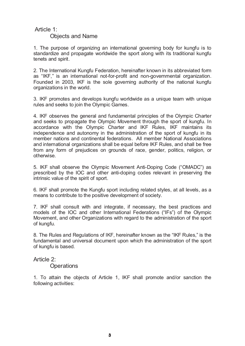## Article 1:

#### Objects and Name

1. The purpose of organizing an international governing body for kungfu is to standardize and propagate worldwide the sport along with its traditional kungfu tenets and spirit.

2. The International Kungfu Federation, hereinafter known in its abbreviated form as "IKF," is an international not-for-profit and non-governmental organization. Founded in 2003, IKF is the sole governing authority of the national kungfu organizations in the world.

3. IKF promotes and develops kungfu worldwide as a unique team with unique rules and seeks to join the Olympic Games.

4. IKF observes the general and fundamental principles of the Olympic Charter and seeks to propagate the Olympic Movement through the sport of kungfu. In accordance with the Olympic Charter and IKF Rules, IKF maintains its independence and autonomy in the administration of the sport of kungfu in its member nations and continental federations. All member National Associations and international organizations shall be equal before IKF Rules, and shall be free from any form of prejudices on grounds of race, gender, politics, religion, or otherwise.

5. IKF shall observe the Olympic Movement Anti-Doping Code ("OMADC") as prescribed by the IOC and other anti-doping codes relevant in preserving the intrinsic value of the spirit of sport.

6. IKF shall promote the Kungfu sport including related styles, at all levels, as a means to contribute to the positive development of society.

7. IKF shall consult with and integrate, if necessary, the best practices and models of the IOC and other International Federations ("IFs") of the Olympic Movement, and other Organizations with regard to the administration of the sport of kungfu.

8. The Rules and Regulations of IKF, hereinafter known as the "IKF Rules," is the fundamental and universal document upon which the administration of the sport of kungfu is based.

Article 2:

**Operations** 

1. To attain the objects of Article 1, IKF shall promote and/or sanction the following activities: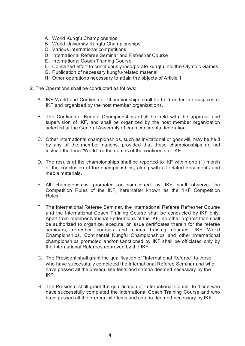- A. World Kungfu Championships
- B. World University Kungfu Championships
- C. Various international competitions
- D. International Referee Seminar and Refresher Course
- E. International Coach Training Course
- F. Concerted effort to continuously incorporate kungfu into the Olympic Games
- G. Publication of necessary kungfu-related material
- H. Other operations necessary to attain the objects of Article 1
- 2. The Operations shall be conducted as follows:
	- A. IKF World and Continental Championships shall be held under the auspices of IKF and organized by the host member organizations.
	- B. The Continental Kungfu Championships shall be held with the approval and supervision of IKF, and shall be organized by the host member organization selected at the General Assembly of each continental federation.
	- C. Other international championships, such as invitational or goodwill, may be held by any of the member nations, provided that these championships do not include the term "World" or the names of the continents of IKF.
	- D. The results of the championships shall be reported to IKF within one (1) month of the conclusion of the championships, along with all related documents and media materials.
	- E. All championships promoted or sanctioned by IKF shall observe the Competition Rules of the IKF, hereinafter known as the "IKF Competition Rules."
	- F. The International Referee Seminar, the International Referee Refresher Course and the International Coach Training Course shall be conducted by IKF only. Apart from member National Federations of the IKF, no other organization shall be authorized to organize, execute, or issue certificates therein for the referee seminars, refresher courses and coach training courses. IKF World Championships, Continental Kungfu Championships and other international championships promoted and/or sanctioned by IKF shall be officiated only by the International Referees approved by the IKF.
	- G. The President shall grant the qualification of "International Referee" to those who have successfully completed the International Referee Seminar and who have passed all the prerequisite tests and criteria deemed necessary by the IKF.
	- H. The President shall grant the qualification of 'International Coach" to those who have successfully completed the International Coach Training Course and who have passed all the prerequisite tests and criteria deemed necessary by IKF.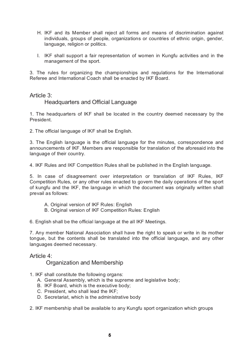- H. IKF and its Member shall reject all forms and means of discrimination against individuals, groups of people, organizations or countries of ethnic origin, gender, language, religion or politics.
- I. IKF shall support a fair representation of women in Kungfu activities and in the management of the sport.

3. The rules for organizing the championships and regulations for the International Referee and International Coach shall be enacted by IKF Board.

Article 3:

#### Headquarters and Official Language

1. The headquarters of IKF shall be located in the country deemed necessary by the President.

2. The official language of IKF shall be English.

3. The English language is the official language for the minutes, correspondence and announcements of IKF. Members are responsible for translation of the aforesaid into the language of their country.

4. IKF Rules and IKF Competition Rules shall be published in the English language.

5. In case of disagreement over interpretation or translation of IKF Rules, IKF Competition Rules, or any other rules enacted to govern the daily operations of the sport of kungfu and the IKF, the language in which the document was originally written shall prevail as follows:

- A. Original version of IKF Rules: English
- B. Original version of IKF Competition Rules: English

6. English shall be the official language at the all IKF Meetings.

7. Any member National Association shall have the right to speak or write in its mother tongue, but the contents shall be translated into the official language, and any other languages deemed necessary.

Article 4:

Organization and Membership

- 1. IKF shall constitute the following organs:
	- A. General Assembly, which is the supreme and legislative body;
	- B. IKF Board, which is the executive body;
	- C. President, who shall lead the IKF;
	- D. Secretariat, which is the administrative body

2. IKF membership shall be available to any Kungfu sport organization which groups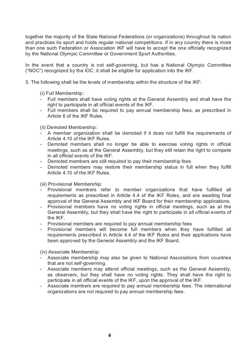together the majority of the State National Federations (or organizations) throughout its nation and practices its sport and holds regular national competitions. If in any country there is more than one such Federation or Association IKF will have to accept the one officially recognized by the National Olympic Committee or Government Sport Authorities.

In the event that a country is not self-governing, but has a National Olympic Committee ("NOC") recognized by the IOC, it shall be eligible for application into the IKF.

3. The following shall be the levels of membership within the structure of the IKF:

(i) Full Membership:

- Full members shall have voting rights at the General Assembly and shall have the right to participate in all official events of the IKF.
- Full members shall be required to pay annual membership fees, as prescribed in Article 6 of the IKF Rules.

(ii) Demoted Membership:

- A member organization shall be demoted if it does not fulfill the requirements of Article 4.10 of the IKF Rules.
- Demoted members shall no longer be able to exercise voting rights in official meetings, such as at the General Assembly, but they still retain the right to compete in all official events of the IKF.
- Demoted members are still required to pay their membership fees
- Demoted members may restore their membership status in full when they fulfill Article 4.10 of the IKF Rules.

(iii) Provisional Membership:

- Provisional members refer to member organizations that have fulfilled all requirements as prescribed in Article 4.4 of the IKF Rules, and are awaiting final approval of the General Assembly and IKF Board for their membership applications.
- Provisional members have no voting rights in official meetings, such as at the General Assembly, but they shall have the right to participate in all official events of the IKF.
- Provisional members are required to pay annual membership fees
- Provisional members will become full members when they have fulfilled all requirements prescribed in Article 4.4 of the IKF Rules and their applications have been approved by the General Assembly and the IKF Board.

(iv) Associate Membership:

- Associate membership may also be given to National Associations from countries that are not self-governing.
- Associate members may attend official meetings, such as the General Assembly, as observers, but they shall have no voting rights. They shall have the right to participate in all official events of the IKF, upon the approval of the IKF.
- Associate members are required to pay annual membership fees. The international organizations are not required to pay annual membership fees.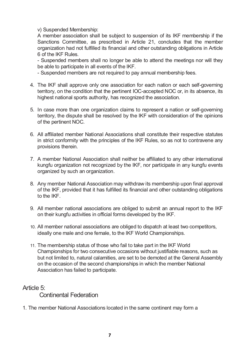v) Suspended Membership:

A member association shall be subject to suspension of its IKF membership if the Sanctions Committee, as prescribed in Article 21, concludes that the member organization had not fulfilled its financial and other outstanding obligations in Article 6 of the IKF Rules.

- Suspended members shall no longer be able to attend the meetings nor will they be able to participate in all events of the IKF.

- Suspended members are not required to pay annual membership fees.

- 4. The IKF shall approve only one association for each nation or each self-governing territory, on the condition that the pertinent IOC-accepted NOC or, in its absence, its highest national sports authority, has recognized the association.
- 5. In case more than one organization claims to represent a nation or self-governing territory, the dispute shall be resolved by the IKF with consideration of the opinions of the pertinent NOC.
- 6. All affiliated member National Associations shall constitute their respective statutes in strict conformity with the principles of the IKF Rules, so as not to contravene any provisions therein.
- 7. A member National Association shall neither be affiliated to any other international kungfu organization not recognized by the IKF, nor participate in any kungfu events organized by such an organization.
- 8. Any member National Association may withdraw its membership upon final approval of the IKF, provided that it has fulfilled its financial and other outstanding obligations to the IKF.
- 9. All member national associations are obliged to submit an annual report to the IKF on their kungfu activities in official forms developed by the IKF.
- 10. All member national associations are obliged to dispatch at least two competitors, ideally one male and one female, to the IKF World Championships.
- 11. The membership status of those who fail to take part in the IKF World Championships for two consecutive occasions without justifiable reasons, such as but not limited to, natural calamities, are set to be demoted at the General Assembly on the occasion of the second championships in which the member National Association has failed to participate.

Article 5:

Continental Federation

1. The member National Associations located in the same continent may form a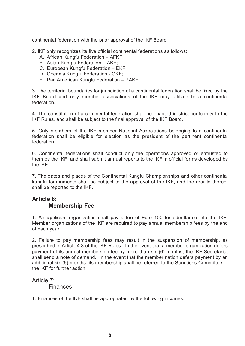continental federation with the prior approval of the IKF Board.

- 2. IKF only recognizes its five official continental federations as follows:
	- A. African Kungfu Federation AFKF;
	- B. Asian Kungfu Federation AKF;
	- C. European Kungfu Federation EKF;
	- D. Oceania Kungfu Federation OKF;
	- E. Pan American Kungfu Federation PAKF

3. The territorial boundaries for jurisdiction of a continental federation shall be fixed by the IKF Board and only member associations of the IKF may affiliate to a continental federation.

4. The constitution of a continental federation shall be enacted in strict conformity to the IKF Rules, and shall be subject to the final approval of the IKF Board.

5. Only members of the IKF member National Associations belonging to a continental federation shall be eligible for election as the president of the pertinent continental federation.

6. Continental federations shall conduct only the operations approved or entrusted to them by the IKF, and shall submit annual reports to the IKF in official forms developed by the IKF.

7. The dates and places of the Continental Kungfu Championships and other continental kungfu tournaments shall be subject to the approval of the IKF, and the results thereof shall be reported to the IKF.

## **Article 6: Membership Fee**

1. An applicant organization shall pay a fee of Euro 100 for admittance into the IKF. Member organizations of the IKF are required to pay annual membership fees by the end of each year.

2. Failure to pay membership fees may result in the suspension of membership, as prescribed in Article 4.3 of the IKF Rules. In the event that a member organization defers payment of its annual membership fee by more than six (6) months, the IKF Secretariat shall send a note of demand. In the event that the member nation defers payment by an additional six (6) months, its membership shall be referred to the Sanctions Committee of the IKF for further action.

Article 7:

**Finances** 

1. Finances of the IKF shall be appropriated by the following incomes.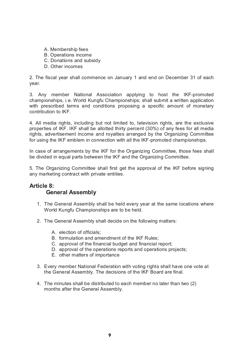- A. Membership fees
- B. Operations income
- C. Donations and subsidy
- D. Other incomes

2. The fiscal year shall commence on January 1 and end on December 31 of each year.

3. Any member National Association applying to host the IKF-promoted championships, i.e. World Kungfu Championships; shall submit a written application with prescribed terms and conditions proposing a specific amount of monetary contribution to IKF.

4. All media rights, including but not limited to, television rights, are the exclusive properties of IKF. IKF shall be allotted thirty percent (30%) of any fees for all media rights, advertisement income and royalties arranged by the Organizing Committee for using the IKF emblem in connection with all the IKF-promoted championships.

In case of arrangements by the IKF for the Organizing Committee, those fees shall be divided in equal parts between the IKF and the Organizing Committee.

5. The Organizing Committee shall first get the approval of the IKF before signing any marketing contract with private entities.

## **Article 8: General Assembly**

- 1. The General Assembly shall be held every year at the same locations where World Kungfu Championships are to be held.
- 2. The General Assembly shall decide on the following matters:
	- A. election of officials;
	- B. formulation and amendment of the IKF Rules;
	- C. approval of the financial budget and financial report;
	- D. approval of the operations reports and operations projects;
	- E. other matters of importance
- 3. Every member National Federation with voting rights shall have one vote at the General Assembly. The decisions of the IKF Board are final.
- 4. The minutes shall be distributed to each member no later than two (2) months after the General Assembly.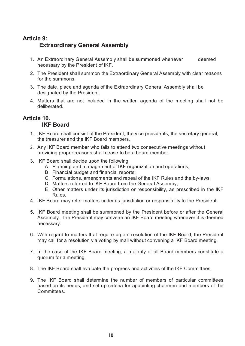## **Article 9: Extraordinary General Assembly**

- 1. An Extraordinary General Assembly shall be summoned whenever deemed necessary by the President of IKF.
- 2. The President shall summon the Extraordinary General Assembly with clear reasons for the summons.
- 3. The date, place and agenda of the Extraordinary General Assembly shall be designated by the President.
- 4. Matters that are not included in the written agenda of the meeting shall not be deliberated.

#### **Article 10. IKF Board**

- 1. IKF Board shall consist of the President, the vice presidents, the secretary general, the treasurer and the IKF Board members.
- 2. Any IKF Board member who fails to attend two consecutive meetings without providing proper reasons shall cease to be a board member.
- 3. IKF Board shall decide upon the following:
	- A. Planning and management of IKF organization and operations;
	- B. Financial budget and financial reports;
	- C. Formulations, amendments and repeal of the IKF Rules and the by-laws;
	- D. Matters referred to IKF Board from the General Assemby;
	- E. Other matters under its jurisdiction or responsibility, as prescribed in the IKF Rules.
- 4. IKF Board may refer matters under its jurisdiction or responsibility to the President.
- 5. IKF Board meeting shall be summoned by the President before or after the General Assembly. The President may convene an IKF Board meeting whenever it is deemed necessary.
- 6. With regard to matters that require urgent resolution of the IKF Board, the President may call for a resolution via voting by mail without convening a IKF Board meeting.
- 7. In the case of the IKF Board meeting, a majority of all Board members constitute a quorum for a meeting.
- 8. The IKF Board shall evaluate the progress and activities of the IKF Committees.
- 9. The IKF Board shall determine the number of members of particular committees based on its needs, and set up criteria for appointing chairmen and members of the Committees.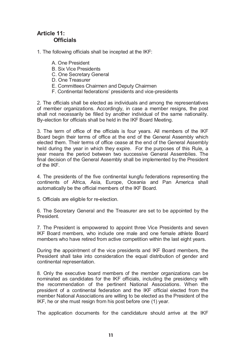## **Article 11: Officials**

- 1. The following officials shall be incepted at the IKF:
	- A. One President
	- B. Six Vice Presidents
	- C. One Secretary General
	- D. One Treasurer
	- E. Committees Chairmen and Deputy Chairmen
	- F. Continental federations' presidents and vice-presidents

2. The officials shall be elected as individuals and among the representatives of member organizations. Accordingly, in case a member resigns, the post shall not necessarily be filled by another individual of the same nationality. By-election for officials shall be held in the IKF Board Meeting.

3. The term of office of the officials is four years. All members of the IKF Board begin their terms of office at the end of the General Assembly which elected them. Their terms of office cease at the end of the General Assembly held during the year in which they expire. For the purposes of this Rule, a year means the period between two successive General Assemblies. The final decision of the General Assembly shall be implemented by the President of the IKF.

4. The presidents of the five continental kungfu federations representing the continents of Africa, Asia, Europe, Oceania and Pan America shall automatically be the official members of the IKF Board.

5. Officials are eligible for re-election.

6. The Secretary General and the Treasurer are set to be appointed by the President.

7. The President is empowered to appoint three Vice Presidents and seven IKF Board members, who include one male and one female athlete Board members who have retired from active competition within the last eight years.

During the appointment of the vice presidents and IKF Board members, the President shall take into consideration the equal distribution of gender and continental representation.

8. Only the executive board members of the member organizations can be nominated as candidates for the IKF officials, including the presidency with the recommendation of the pertinent National Associations. When the president of a continental federation and the IKF official elected from the member National Associations are willing to be elected as the President of the IKF, he or she must resign from his post before one (1) year.

The application documents for the candidature should arrive at the IKF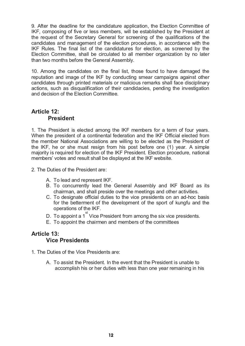9. After the deadline for the candidature application, the Election Committee of IKF, composing of five or less members, will be established by the President at the request of the Secretary General for screening of the qualifications of the candidates and management of the election procedures, in accordance with the IKF Rules. The final list of the candidatures for election, as screened by the Election Committee, shall be circulated to all member organization by no later than two months before the General Assembly.

10. Among the candidates on the final list, those found to have damaged the reputation and image of the IKF by conducting smear campaigns against other candidates through printed materials or malicious remarks shall face disciplinary actions, such as disqualification of their candidacies, pending the investigation and decision of the Election Committee.

## **Article 12: President**

1. The President is elected among the IKF members for a term of four years. When the president of a continental federation and the IKF Official elected from the member National Associations are willing to be elected as the President of the IKF, he or she must resign from his post before one (1) year. A simple majority is required for election of the IKF President. Election procedure, national members' votes and result shall be displayed at the IKF website.

- 2. The Duties of the President are:
	- A. To lead and represent IKF.
	- B. To concurrently lead the General Assembly and IKF Board as its chairman, and shall preside over the meetings and other activities.
	- C. To designate official duties to the vice presidents on an ad-hoc basis for the betterment of the development of the sport of kungfu and the operations of the IKF.
	- D. To appoint a 1<sup>st</sup> Vice President from among the six vice presidents.
	- E. To appoint the chairmen and members of the committees

## **Article 13: Vice Presidents**

- 1. The Duties of the Vice Presidents are:
	- A. To assist the President. In the event that the President is unable to accomplish his or her duties with less than one year remaining in his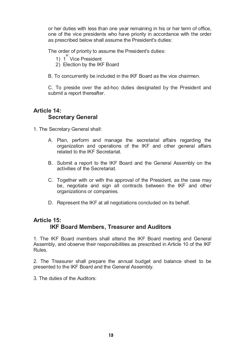or her duties with less than one year remaining in his or her term of office, one of the vice presidents who have priority in accordance with the order as prescribed below shall assume the President's duties:

The order of priority to assume the President's duties:

- 1) 1<sup>st</sup> Vice President
- 2) Election by the IKF Board
- B. To concurrently be included in the IKF Board as the vice chairmen.

C. To preside over the ad-hoc duties designated by the President and submit a report thereafter.

## **Article 14: Secretary General**

- 1. The Secretary General shall:
	- A. Plan, perform and manage the secretarial affairs regarding the organization and operations of the IKF and other general affairs related to the IKF Secretariat.
	- B. Submit a report to the IKF Board and the General Assembly on the activities of the Secretariat.
	- C. Together with or with the approval of the President, as the case may be, negotiate and sign all contracts between the IKF and other organizations or companies.
	- D. Represent the IKF at all negotiations concluded on its behalf.

## **Article 15: IKF Board Members, Treasurer and Auditors**

1. The IKF Board members shall attend the IKF Board meeting and General Assembly, and observe their responsibilities as prescribed in Article 10 of the IKF Rules.

2. The Treasurer shall prepare the annual budget and balance sheet to be presented to the IKF Board and the General Assembly.

3. The duties of the Auditors: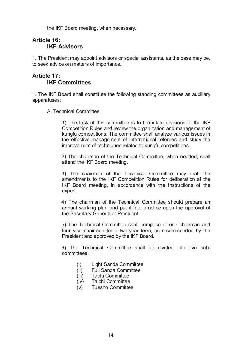the IKF Board meeting, when necessary.

## **Article 16: IKF Advisors**

1. The President may appoint advisors or special assistants, as the case may be, to seek advice on matters of importance.

## **Article 17: IKF Committees**

1. The IKF Board shall constitute the following standing committees as auxiliary apparatuses:

A. Technical Committee

1) The task of this committee is to formulate revisions to the IKF Competition Rules and review the organization and management of kungfu competitions. The committee shall analyze various issues in the effective management of international referees and study the improvement of techniques related to kungfu competitions.

2) The chairman of the Technical Committee, when needed, shall attend the IKF Board meeting.

3) The chairman of the Technical Committee may draft the amendments to the IKF Competition Rules for deliberation at the IKF Board meeting, in accordance with the instructions of the expert.

4) The chairman of the Technical Committee should prepare an annual working plan and put it into practice upon the approval of the Secretary General or President.

5) The Technical Committee shall compose of one chairman and four vice chairmen for a two-year term, as recommended by the President and approved by the IKF Board.

6) The Technical Committee shall be divided into five subcommittees:

- (i) Light Sanda Committee
- (ii) Full Sanda Committee
- (iii) Taolu Committee
- (iv) Taichi Committee
- (v) Tuesho Committee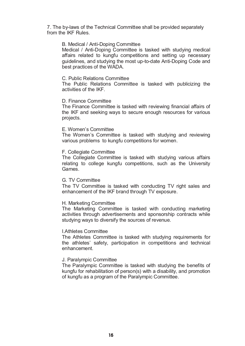7. The by-laws of the Technical Committee shall be provided separately from the IKF Rules.

#### B. Medical / Anti-Doping Committee

Medical / Anti-Doping Committee is tasked with studying medical affairs related to kungfu competitions and setting up necessary guidelines, and studying the most up-to-date Anti-Doping Code and best practices of the WADA.

#### C. Public Relations Committee

The Public Relations Committee is tasked with publicizing the activities of the IKF.

#### D. Finance Committee

The Finance Committee is tasked with reviewing financial affairs of the IKF and seeking ways to secure enough resources for various projects.

#### E. Women's Committee

The Women's Committee is tasked with studying and reviewing various problems to kungfu competitions for women.

#### F. Collegiate Committee

The Collegiate Committee is tasked with studying various affairs relating to college kungfu competitions, such as the University Games.

#### G. TV Committee

The TV Committee is tasked with conducting TV right sales and enhancement of the IKF brand through TV exposure.

#### H. Marketing Committee

The Marketing Committee is tasked with conducting marketing activities through advertisements and sponsorship contracts while studying ways to diversify the sources of revenue.

#### I.Athletes Committee

The Athletes Committee is tasked with studying requirements for the athletes' safety, participation in competitions and technical enhancement.

#### J. Paralympic Committee

The Paralympic Committee is tasked with studying the benefits of kungfu for rehabilitation of person(s) with a disability, and promotion of kungfu as a program of the Paralympic Committee.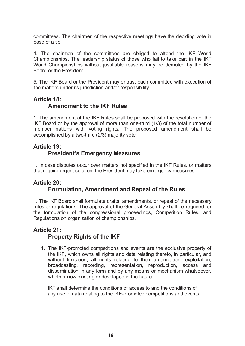committees. The chairmen of the respective meetings have the deciding vote in case of a tie.

4. The chairmen of the committees are obliged to attend the IKF World Championships. The leadership status of those who fail to take part in the IKF World Championships without justifiable reasons may be demoted by the IKF Board or the President.

5. The IKF Board or the President may entrust each committee with execution of the matters under its jurisdiction and/or responsibility.

## **Article 18: Amendment to the IKF Rules**

1. The amendment of the IKF Rules shall be proposed with the resolution of the IKF Board or by the approval of more than one-third (1/3) of the total number of member nations with voting rights. The proposed amendment shall be accomplished by a two-third (2/3) majority vote.

## **Article 19: President's Emergency Measures**

1. In case disputes occur over matters not specified in the IKF Rules, or matters that require urgent solution, the President may take emergency measures.

## **Article 20: Formulation, Amendment and Repeal of the Rules**

1. The IKF Board shall formulate drafts, amendments, or repeal of the necessary rules or regulations. The approval of the General Assembly shall be required for the formulation of the congressional proceedings, Competition Rules, and Regulations on organization of championships.

## **Article 21: Property Rights of the IKF**

1. The IKF-promoted competitions and events are the exclusive property of the IKF, which owns all rights and data relating thereto, in particular, and without limitation, all rights relating to their organization, exploitation, broadcasting, recording, representation, reproduction, access and dissemination in any form and by any means or mechanism whatsoever, whether now existing or developed in the future.

IKF shall determine the conditions of access to and the conditions of any use of data relating to the IKF-promoted competitions and events.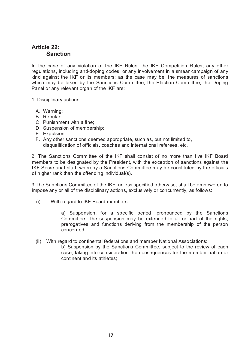## **Article 22: Sanction**

In the case of any violation of the IKF Rules; the IKF Competition Rules; any other regulations, including anti-doping codes; or any involvement in a smear campaign of any kind against the IKF or its members; as the case may be, the measures of sanctions which may be taken by the Sanctions Committee, the Election Committee, the Doping Panel or any relevant organ of the IKF are:

- 1. Disciplinary actions:
	- A. Warning;
	- B. Rebuke;
	- C. Punishment with a fine;
	- D. Suspension of membership;
	- E. Expulsion;
	- F. Any other sanctions deemed appropriate, such as, but not limited to, disqualification of officials, coaches and international referees, etc.

2. The Sanctions Committee of the IKF shall consist of no more than five IKF Board members to be designated by the President, with the exception of sanctions against the IKF Secretariat staff, whereby a Sanctions Committee may be constituted by the officials of higher rank than the offending individual(s).

3.The Sanctions Committee of the IKF, unless specified otherwise, shall be empowered to impose any or all of the disciplinary actions, exclusively or concurrently, as follows:

(i) With regard to IKF Board members:

a) Suspension, for a specific period, pronounced by the Sanctions Committee. The suspension may be extended to all or part of the rights, prerogatives and functions deriving from the membership of the person concerned;

(ii) With regard to continental federations and member National Associations:

b) Suspension by the Sanctions Committee, subject to the review of each case; taking into consideration the consequences for the member nation or continent and its athletes;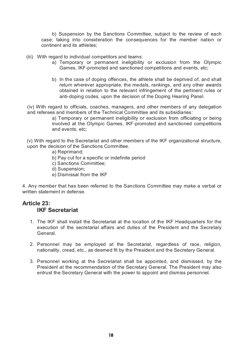b) Suspension by the Sanctions Committee, subject to the review of each case; taking into consideration the consequences for the member nation or continent and its athletes;

- (iii) With regard to individual competitors and teams:
	- a) Temporary or permanent ineligibility or exclusion from the Olympic Games, IKF-promoted and sanctioned competitions and events, etc;
	- b) In the case of doping offences, the athlete shall be deprived of, and shall return wherever appropriate, the medals, rankings, and any other awards obtained in relation to the relevant infringement of the pertinent rules or anti-doping codes, upon the decision of the Doping Hearing Panel.

(iv) With regard to officials, coaches, managers, and other members of any delegation and referees and members of the Technical Committee and its subsidiaries:

> a) Temporary or permanent ineligibility or exclusion from officiating or being involved at the Olympic Games, IKF-promoted and sanctioned competitions and events, etc;

(v) With regard to the Secretariat and other members of the IKF organizational structure, upon the decision of the Sanctions Committee.

- a) Reprimand;
- b) Pay cut for a specific or indefinite period
- c) Sanctions Committee;
- d) Suspension;
- e) Dismissal from the IKF

4. Any member that has been referred to the Sanctions Committee may make a verbal or written statement in defense.

## **Article 23: IKF Secretariat**

- 1. The IKF shall install the Secretariat at the location of the IKF Headquarters for the execution of the secretarial affairs and duties of the President and the Secretary General.
- 2. Personnel may be employed at the Secretariat, regardless of race, religion, nationality, creed, etc., as deemed fit by the President and the Secretary General.
- 3. Personnel working at the Secretariat shall be appointed, and dismissed, by the President at the recommendation of the Secretary General. The President may also entrust the Secretary General with the power to appoint and dismiss personnel.